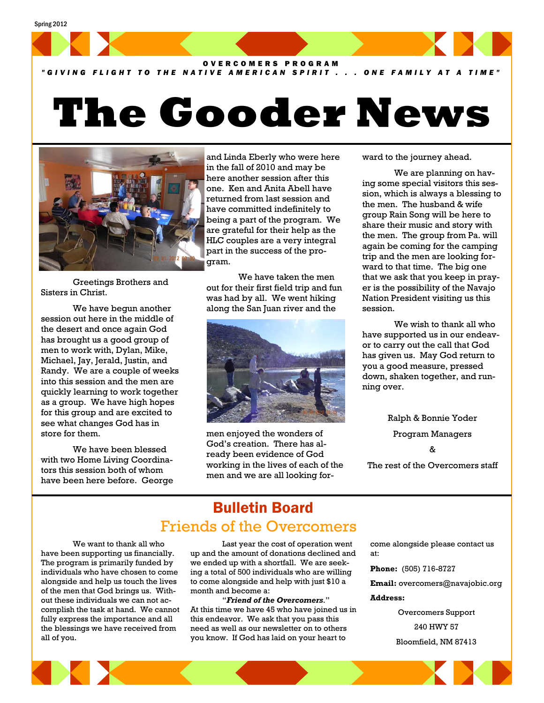Spring 2012



## *"GIVING FLIGHT TO THE NATIVE AMERICAN SPIRIT . . . ONE FAMILY AT A TIME"*

# **The Gooder News**



 Greetings Brothers and Sisters in Christ.

 We have begun another session out here in the middle of the desert and once again God has brought us a good group of men to work with, Dylan, Mike, Michael, Jay, Jerald, Justin, and Randy. We are a couple of weeks into this session and the men are quickly learning to work together as a group. We have high hopes for this group and are excited to see what changes God has in store for them.

 We have been blessed with two Home Living Coordinators this session both of whom have been here before. George and Linda Eberly who were here in the fall of 2010 and may be here another session after this one. Ken and Anita Abell have returned from last session and have committed indefinitely to being a part of the program. We are grateful for their help as the HLC couples are a very integral part in the success of the program.

 We have taken the men out for their first field trip and fun was had by all. We went hiking along the San Juan river and the



men enjoyed the wonders of God's creation. There has already been evidence of God working in the lives of each of the men and we are all looking forward to the journey ahead.

 We are planning on having some special visitors this session, which is always a blessing to the men. The husband & wife group Rain Song will be here to share their music and story with the men. The group from Pa. will again be coming for the camping trip and the men are looking forward to that time. The big one that we ask that you keep in prayer is the possibility of the Navajo Nation President visiting us this session.

 We wish to thank all who have supported us in our endeavor to carry out the call that God has given us. May God return to you a good measure, pressed down, shaken together, and running over.

> Ralph & Bonnie Yoder Program Managers &

The rest of the Overcomers staff

# Bulletin Board Friends of the Overcomers

 We want to thank all who have been supporting us financially. The program is primarily funded by individuals who have chosen to come alongside and help us touch the lives of the men that God brings us. Without these individuals we can not accomplish the task at hand. We cannot fully express the importance and all the blessings we have received from all of you.

 Last year the cost of operation went up and the amount of donations declined and we ended up with a shortfall. We are seeking a total of 500 individuals who are willing to come alongside and help with just \$10 a month and become a:

 "*Friend of the Overcomers*." At this time we have 45 who have joined us in this endeavor. We ask that you pass this need as well as our newsletter on to others you know. If God has laid on your heart to

come alongside please contact us at:

**Phone:** (505) 716-8727

**Email:** overcomers@navajobic.org

#### **Address:**

Overcomers Support 240 HWY 57 Bloomfield, NM 87413